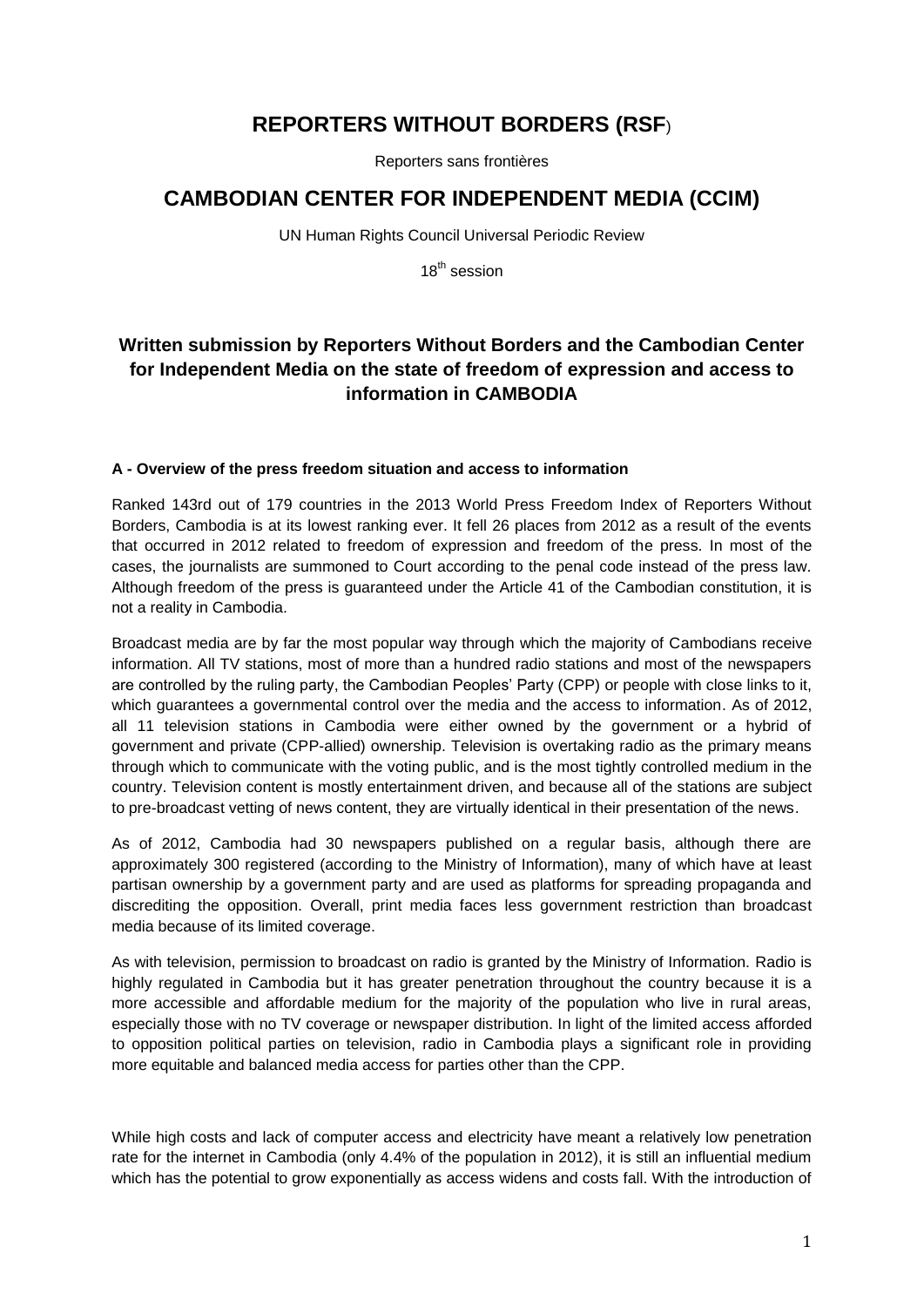# **REPORTERS WITHOUT BORDERS (RSF**)

Reporters sans frontières

## **CAMBODIAN CENTER FOR INDEPENDENT MEDIA (CCIM)**

UN Human Rights Council Universal Periodic Review

18<sup>th</sup> session

## **Written submission by Reporters Without Borders and the Cambodian Center for Independent Media on the state of freedom of expression and access to information in CAMBODIA**

## **A - Overview of the press freedom situation and access to information**

Ranked 143rd out of 179 countries in the 2013 World Press Freedom Index of Reporters Without Borders, Cambodia is at its lowest ranking ever. It fell 26 places from 2012 as a result of the events that occurred in 2012 related to freedom of expression and freedom of the press. In most of the cases, the journalists are summoned to Court according to the penal code instead of the press law. Although freedom of the press is guaranteed under the Article 41 of the Cambodian constitution, it is not a reality in Cambodia.

Broadcast media are by far the most popular way through which the majority of Cambodians receive information. All TV stations, most of more than a hundred radio stations and most of the newspapers are controlled by the ruling party, the Cambodian Peoples' Party (CPP) or people with close links to it, which guarantees a governmental control over the media and the access to information. As of 2012, all 11 television stations in Cambodia were either owned by the government or a hybrid of government and private (CPP-allied) ownership. Television is overtaking radio as the primary means through which to communicate with the voting public, and is the most tightly controlled medium in the country. Television content is mostly entertainment driven, and because all of the stations are subject to pre-broadcast vetting of news content, they are virtually identical in their presentation of the news.

As of 2012, Cambodia had 30 newspapers published on a regular basis, although there are approximately 300 registered (according to the Ministry of Information), many of which have at least partisan ownership by a government party and are used as platforms for spreading propaganda and discrediting the opposition. Overall, print media faces less government restriction than broadcast media because of its limited coverage.

As with television, permission to broadcast on radio is granted by the Ministry of Information. Radio is highly regulated in Cambodia but it has greater penetration throughout the country because it is a more accessible and affordable medium for the majority of the population who live in rural areas, especially those with no TV coverage or newspaper distribution. In light of the limited access afforded to opposition political parties on television, radio in Cambodia plays a significant role in providing more equitable and balanced media access for parties other than the CPP.

While high costs and lack of computer access and electricity have meant a relatively low penetration rate for the internet in Cambodia (only 4.4% of the population in 2012), it is still an influential medium which has the potential to grow exponentially as access widens and costs fall. With the introduction of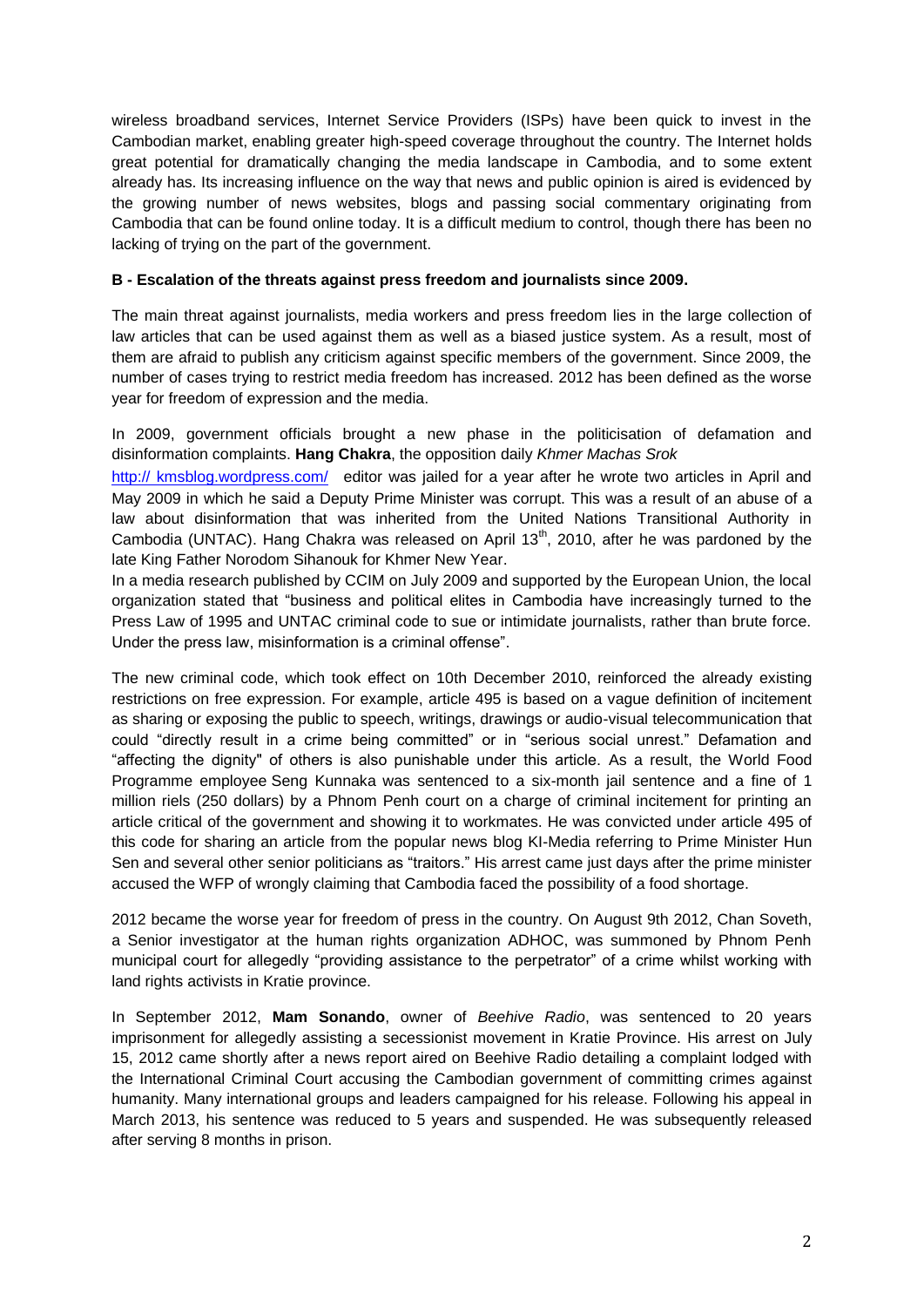wireless broadband services, Internet Service Providers (ISPs) have been quick to invest in the Cambodian market, enabling greater high-speed coverage throughout the country. The Internet holds great potential for dramatically changing the media landscape in Cambodia, and to some extent already has. Its increasing influence on the way that news and public opinion is aired is evidenced by the growing number of news websites, blogs and passing social commentary originating from Cambodia that can be found online today. It is a difficult medium to control, though there has been no lacking of trying on the part of the government.

#### **B - Escalation of the threats against press freedom and journalists since 2009.**

The main threat against journalists, media workers and press freedom lies in the large collection of law articles that can be used against them as well as a biased justice system. As a result, most of them are afraid to publish any criticism against specific members of the government. Since 2009, the number of cases trying to restrict media freedom has increased. 2012 has been defined as the worse year for freedom of expression and the media.

In 2009, government officials brought a new phase in the politicisation of defamation and disinformation complaints. **Hang Chakra**, the opposition daily *Khmer Machas Srok* 

http:// [kmsblog.wordpress.com/](http://kmsblog.wordpress.com/) editor was jailed for a year after he wrote two articles in April and May 2009 in which he said a Deputy Prime Minister was corrupt. This was a result of an abuse of a law about disinformation that was inherited from the United Nations Transitional Authority in Cambodia (UNTAC). Hang Chakra was released on April  $13<sup>th</sup>$ , 2010, after he was pardoned by the late King Father Norodom Sihanouk for Khmer New Year.

In a media research published by CCIM on July 2009 and supported by the European Union, the local organization stated that "business and political elites in Cambodia have increasingly turned to the Press Law of 1995 and UNTAC criminal code to sue or intimidate journalists, rather than brute force. Under the press law, misinformation is a criminal offense".

The new criminal code, which took effect on 10th December 2010, reinforced the already existing restrictions on free expression. For example, article 495 is based on a vague definition of incitement as sharing or exposing the public to speech, writings, drawings or audio-visual telecommunication that could "directly result in a crime being committed" or in "serious social unrest." Defamation and "affecting the dignity" of others is also punishable under this article. As a result, the World Food Programme employee Seng Kunnaka was sentenced to a six-month jail sentence and a fine of 1 million riels (250 dollars) by a Phnom Penh court on a charge of criminal incitement for printing an article critical of the government and showing it to workmates. He was convicted under article 495 of this code for sharing an article from the popular news blog KI-Media referring to Prime Minister Hun Sen and several other senior politicians as "traitors." His arrest came just days after the prime minister accused the WFP of wrongly claiming that Cambodia faced the possibility of a food shortage.

2012 became the worse year for freedom of press in the country. On August 9th 2012, Chan Soveth, a Senior investigator at the human rights organization ADHOC, was summoned by Phnom Penh municipal court for allegedly "providing assistance to the perpetrator" of a crime whilst working with land rights activists in Kratie province.

In September 2012, **Mam Sonando**, owner of *Beehive Radio*, was sentenced to 20 years imprisonment for allegedly assisting a secessionist movement in Kratie Province. His arrest on July 15, 2012 came shortly after a news report aired on Beehive Radio detailing a complaint lodged with the International Criminal Court accusing the Cambodian government of committing crimes against humanity. Many international groups and leaders campaigned for his release. Following his appeal in March 2013, his sentence was reduced to 5 years and suspended. He was subsequently released after serving 8 months in prison.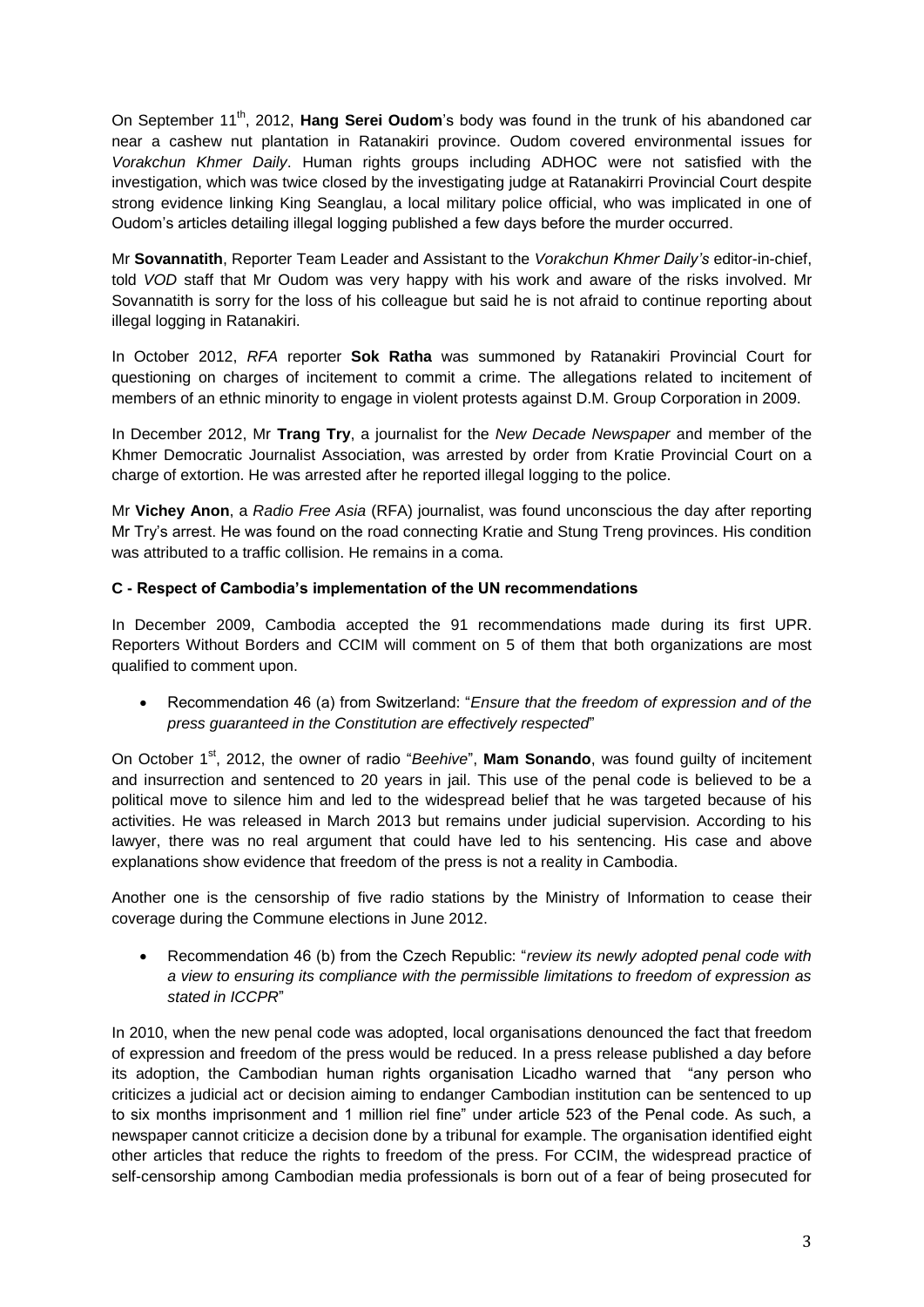On September 11<sup>th</sup>, 2012, Hang Serei Oudom's body was found in the trunk of his abandoned car near a cashew nut plantation in Ratanakiri province. Oudom covered environmental issues for *Vorakchun Khmer Daily*. Human rights groups including ADHOC were not satisfied with the investigation, which was twice closed by the investigating judge at Ratanakirri Provincial Court despite strong evidence linking King Seanglau, a local military police official, who was implicated in one of Oudom's articles detailing illegal logging published a few days before the murder occurred.

Mr **Sovannatith**, Reporter Team Leader and Assistant to the *Vorakchun Khmer Daily's* editor-in-chief, told *VOD* staff that Mr Oudom was very happy with his work and aware of the risks involved. Mr Sovannatith is sorry for the loss of his colleague but said he is not afraid to continue reporting about illegal logging in Ratanakiri.

In October 2012, *RFA* reporter **Sok Ratha** was summoned by Ratanakiri Provincial Court for questioning on charges of incitement to commit a crime. The allegations related to incitement of members of an ethnic minority to engage in violent protests against D.M. Group Corporation in 2009.

In December 2012, Mr **Trang Try**, a journalist for the *New Decade Newspaper* and member of the Khmer Democratic Journalist Association, was arrested by order from Kratie Provincial Court on a charge of extortion. He was arrested after he reported illegal logging to the police.

Mr **Vichey Anon**, a *Radio Free Asia* (RFA) journalist, was found unconscious the day after reporting Mr Try's arrest. He was found on the road connecting Kratie and Stung Treng provinces. His condition was attributed to a traffic collision. He remains in a coma.

## **C - Respect of Cambodia's implementation of the UN recommendations**

In December 2009, Cambodia accepted the 91 recommendations made during its first UPR. Reporters Without Borders and CCIM will comment on 5 of them that both organizations are most qualified to comment upon.

 Recommendation 46 (a) from Switzerland: "*Ensure that the freedom of expression and of the press guaranteed in the Constitution are effectively respected*"

On October 1<sup>st</sup>, 2012, the owner of radio "*Beehive*", **Mam Sonando**, was found quilty of incitement and insurrection and sentenced to 20 years in jail. This use of the penal code is believed to be a political move to silence him and led to the widespread belief that he was targeted because of his activities. He was released in March 2013 but remains under judicial supervision. According to his lawyer, there was no real argument that could have led to his sentencing. His case and above explanations show evidence that freedom of the press is not a reality in Cambodia.

Another one is the censorship of five radio stations by the Ministry of Information to cease their coverage during the Commune elections in June 2012.

 Recommendation 46 (b) from the Czech Republic: "*review its newly adopted penal code with a view to ensuring its compliance with the permissible limitations to freedom of expression as stated in ICCPR*"

In 2010, when the new penal code was adopted, local organisations denounced the fact that freedom of expression and freedom of the press would be reduced. In a press release published a day before its adoption, the Cambodian human rights organisation Licadho warned that "any person who criticizes a judicial act or decision aiming to endanger Cambodian institution can be sentenced to up to six months imprisonment and 1 million riel fine" under article 523 of the Penal code. As such, a newspaper cannot criticize a decision done by a tribunal for example. The organisation identified eight other articles that reduce the rights to freedom of the press. For CCIM, the widespread practice of self-censorship among Cambodian media professionals is born out of a fear of being prosecuted for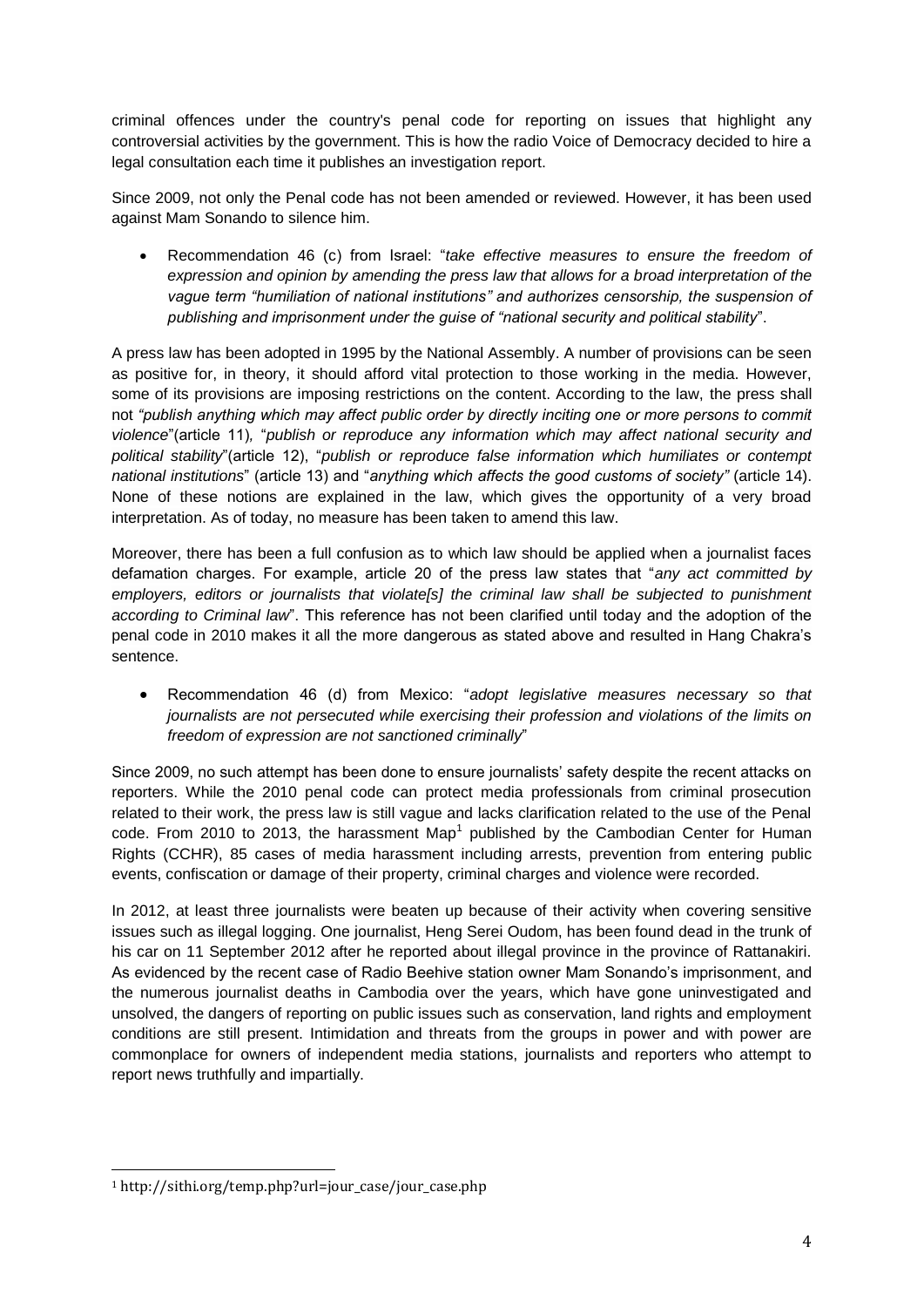criminal offences under the country's penal code for reporting on issues that highlight any controversial activities by the government. This is how the radio Voice of Democracy decided to hire a legal consultation each time it publishes an investigation report.

Since 2009, not only the Penal code has not been amended or reviewed. However, it has been used against Mam Sonando to silence him.

 Recommendation 46 (c) from Israel: "*take effective measures to ensure the freedom of expression and opinion by amending the press law that allows for a broad interpretation of the vague term "humiliation of national institutions" and authorizes censorship, the suspension of publishing and imprisonment under the guise of "national security and political stability*".

A press law has been adopted in 1995 by the National Assembly. A number of provisions can be seen as positive for, in theory, it should afford vital protection to those working in the media. However, some of its provisions are imposing restrictions on the content. According to the law, the press shall not *"publish anything which may affect public order by directly inciting one or more persons to commit violence*"(article 11)*,* "*publish or reproduce any information which may affect national security and political stability*"(article 12), "*publish or reproduce false information which humiliates or contempt national institutions*" (article 13) and "*anything which affects the good customs of society"* (article 14). None of these notions are explained in the law, which gives the opportunity of a very broad interpretation. As of today, no measure has been taken to amend this law.

Moreover, there has been a full confusion as to which law should be applied when a journalist faces defamation charges. For example, article 20 of the press law states that "*any act committed by*  employers, editors or journalists that violate<sup>[5]</sup> the criminal law shall be subjected to punishment *according to Criminal law*". This reference has not been clarified until today and the adoption of the penal code in 2010 makes it all the more dangerous as stated above and resulted in Hang Chakra's sentence.

 Recommendation 46 (d) from Mexico: "*adopt legislative measures necessary so that journalists are not persecuted while exercising their profession and violations of the limits on freedom of expression are not sanctioned criminally*"

Since 2009, no such attempt has been done to ensure journalists' safety despite the recent attacks on reporters. While the 2010 penal code can protect media professionals from criminal prosecution related to their work, the press law is still vague and lacks clarification related to the use of the Penal code. From 2010 to 2013, the harassment Map<sup>1</sup> published by the Cambodian Center for Human Rights (CCHR), 85 cases of media harassment including arrests, prevention from entering public events, confiscation or damage of their property, criminal charges and violence were recorded.

In 2012, at least three journalists were beaten up because of their activity when covering sensitive issues such as illegal logging. One journalist, Heng Serei Oudom, has been found dead in the trunk of his car on 11 September 2012 after he reported about illegal province in the province of Rattanakiri. As evidenced by the recent case of Radio Beehive station owner Mam Sonando's imprisonment, and the numerous journalist deaths in Cambodia over the years, which have gone uninvestigated and unsolved, the dangers of reporting on public issues such as conservation, land rights and employment conditions are still present. Intimidation and threats from the groups in power and with power are commonplace for owners of independent media stations, journalists and reporters who attempt to report news truthfully and impartially.

<u>.</u>

<sup>1</sup> http://sithi.org/temp.php?url=jour\_case/jour\_case.php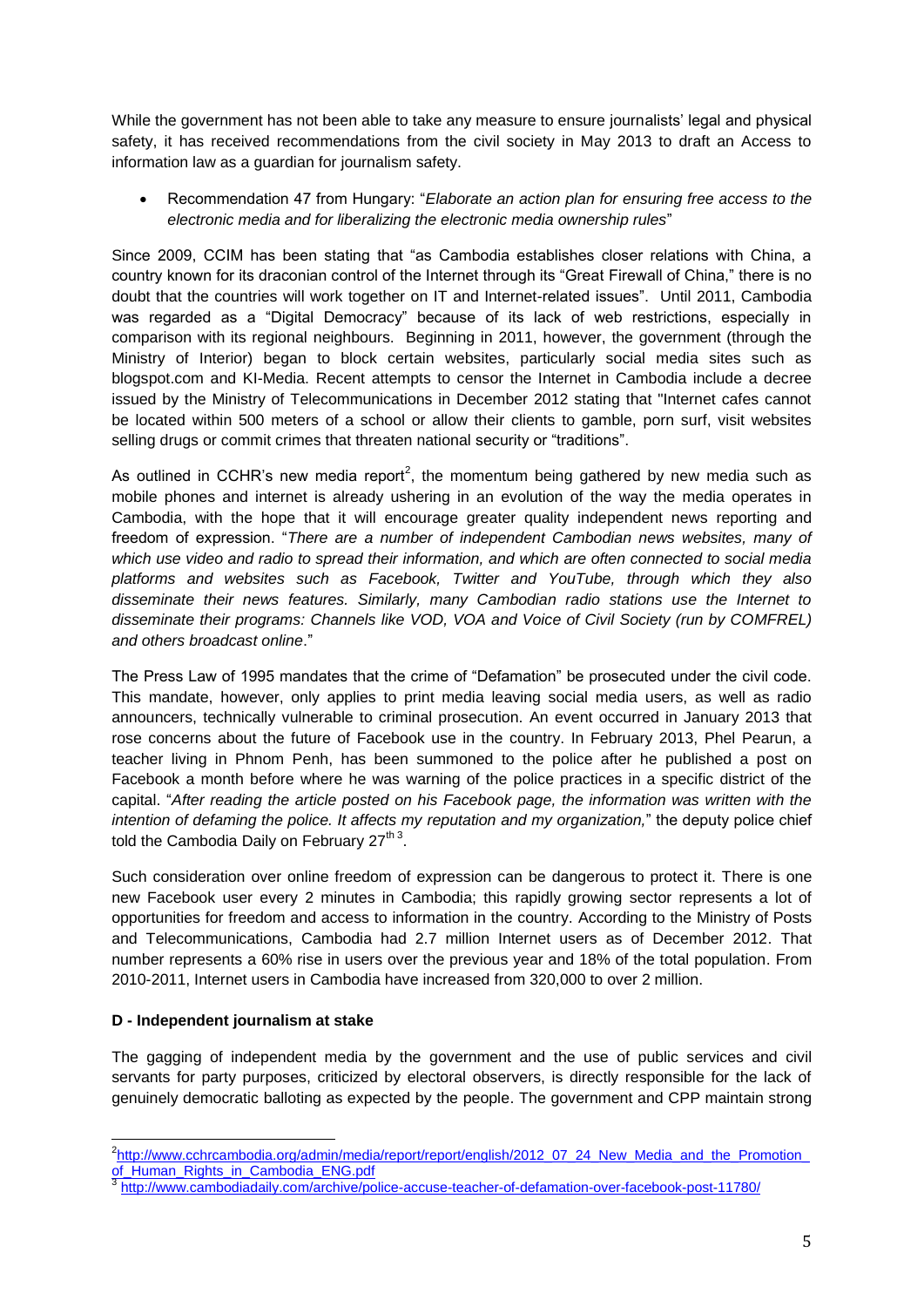While the government has not been able to take any measure to ensure journalists' legal and physical safety, it has received recommendations from the civil society in May 2013 to draft an Access to information law as a guardian for journalism safety.

 Recommendation 47 from Hungary: "*Elaborate an action plan for ensuring free access to the electronic media and for liberalizing the electronic media ownership rules*"

Since 2009, CCIM has been stating that "as Cambodia establishes closer relations with China, a country known for its draconian control of the Internet through its "Great Firewall of China," there is no doubt that the countries will work together on IT and Internet-related issues". Until 2011, Cambodia was regarded as a "Digital Democracy" because of its lack of web restrictions, especially in comparison with its regional neighbours. Beginning in 2011, however, the government (through the Ministry of Interior) began to block certain websites, particularly social media sites such as blogspot.com and KI-Media. Recent attempts to censor the Internet in Cambodia include a decree issued by the Ministry of Telecommunications in December 2012 stating that "Internet cafes cannot be located within 500 meters of a school or allow their clients to gamble, porn surf, visit websites selling drugs or commit crimes that threaten national security or "traditions".

As outlined in CCHR's new media report<sup>2</sup>, the momentum being gathered by new media such as mobile phones and internet is already ushering in an evolution of the way the media operates in Cambodia, with the hope that it will encourage greater quality independent news reporting and freedom of expression. "*There are a number of independent Cambodian news websites, many of which use video and radio to spread their information, and which are often connected to social media platforms and websites such as Facebook, Twitter and YouTube, through which they also disseminate their news features. Similarly, many Cambodian radio stations use the Internet to disseminate their programs: Channels like VOD, VOA and Voice of Civil Society (run by COMFREL) and others broadcast online*."

The Press Law of 1995 mandates that the crime of "Defamation" be prosecuted under the civil code. This mandate, however, only applies to print media leaving social media users, as well as radio announcers, technically vulnerable to criminal prosecution. An event occurred in January 2013 that rose concerns about the future of Facebook use in the country. In February 2013, Phel Pearun, a teacher living in Phnom Penh, has been summoned to the police after he published a post on Facebook a month before where he was warning of the police practices in a specific district of the capital. "*After reading the article posted on his Facebook page, the information was written with the intention of defaming the police. It affects my reputation and my organization,*" the deputy police chief told the Cambodia Daily on February 27 $th$ <sup>3</sup>.

Such consideration over online freedom of expression can be dangerous to protect it. There is one new Facebook user every 2 minutes in Cambodia; this rapidly growing sector represents a lot of opportunities for freedom and access to information in the country. According to the Ministry of Posts and Telecommunications, Cambodia had 2.7 million Internet users as of December 2012. That number represents a 60% rise in users over the previous year and 18% of the total population. From 2010-2011, Internet users in Cambodia have increased from 320,000 to over 2 million.

#### **D - Independent journalism at stake**

The gagging of independent media by the government and the use of public services and civil servants for party purposes, criticized by electoral observers, is directly responsible for the lack of genuinely democratic balloting as expected by the people. The government and CPP maintain strong

 2 [http://www.cchrcambodia.org/admin/media/report/report/english/2012\\_07\\_24\\_New\\_Media\\_and\\_the\\_Promotion\\_](http://www.cchrcambodia.org/admin/media/report/report/english/2012_07_24_New_Media_and_the_Promotion_of_Human_Rights_in_Cambodia_ENG.pdf) [of\\_Human\\_Rights\\_in\\_Cambodia\\_ENG.pdf](http://www.cchrcambodia.org/admin/media/report/report/english/2012_07_24_New_Media_and_the_Promotion_of_Human_Rights_in_Cambodia_ENG.pdf)<br>3 http://www.combodiadeily.com/orchive/ps

<http://www.cambodiadaily.com/archive/police-accuse-teacher-of-defamation-over-facebook-post-11780/>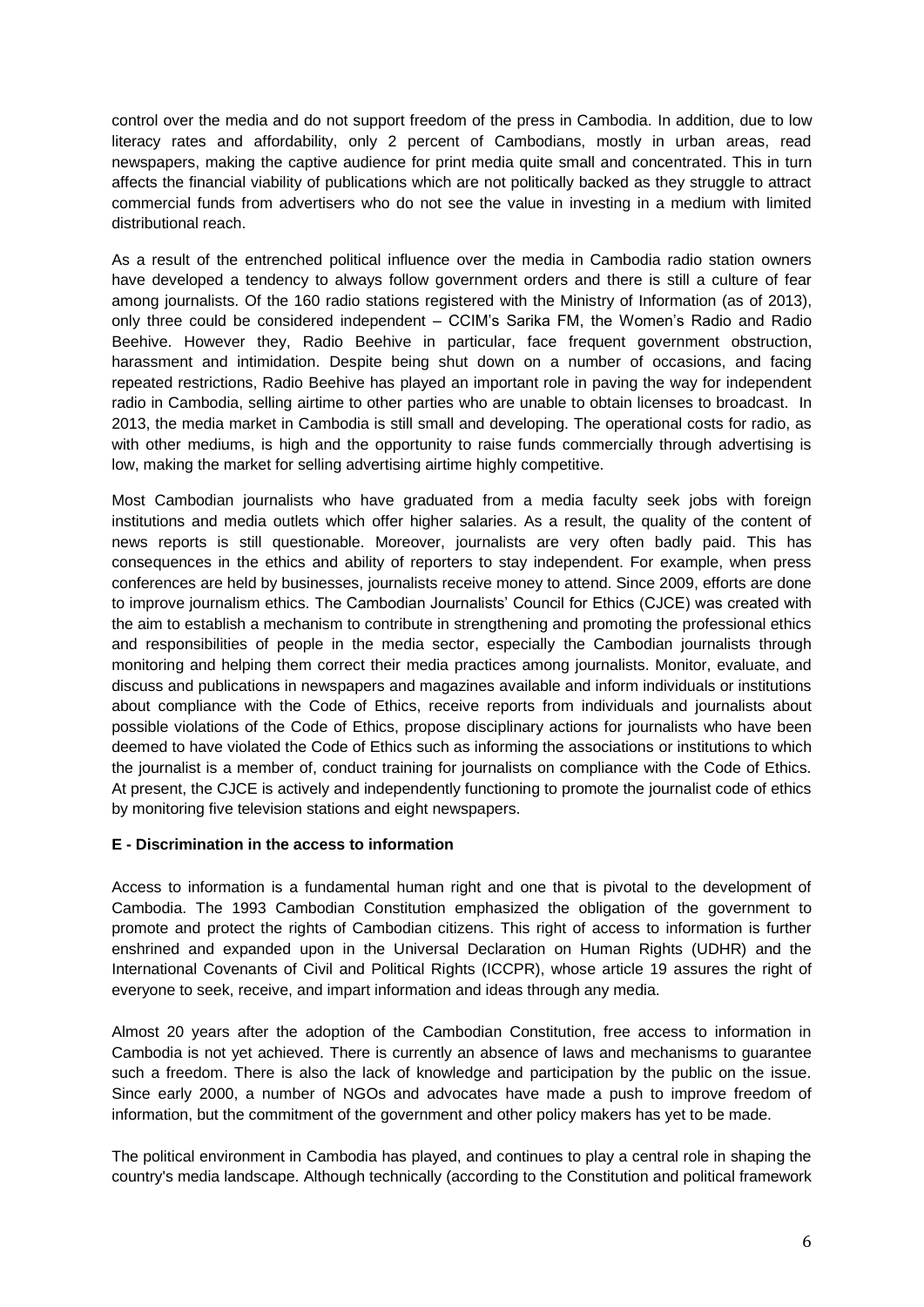control over the media and do not support freedom of the press in Cambodia. In addition, due to low literacy rates and affordability, only 2 percent of Cambodians, mostly in urban areas, read newspapers, making the captive audience for print media quite small and concentrated. This in turn affects the financial viability of publications which are not politically backed as they struggle to attract commercial funds from advertisers who do not see the value in investing in a medium with limited distributional reach.

As a result of the entrenched political influence over the media in Cambodia radio station owners have developed a tendency to always follow government orders and there is still a culture of fear among journalists. Of the 160 radio stations registered with the Ministry of Information (as of 2013), only three could be considered independent – CCIM's Sarika FM, the Women's Radio and Radio Beehive. However they, Radio Beehive in particular, face frequent government obstruction, harassment and intimidation. Despite being shut down on a number of occasions, and facing repeated restrictions, Radio Beehive has played an important role in paving the way for independent radio in Cambodia, selling airtime to other parties who are unable to obtain licenses to broadcast. In 2013, the media market in Cambodia is still small and developing. The operational costs for radio, as with other mediums, is high and the opportunity to raise funds commercially through advertising is low, making the market for selling advertising airtime highly competitive.

Most Cambodian journalists who have graduated from a media faculty seek jobs with foreign institutions and media outlets which offer higher salaries. As a result, the quality of the content of news reports is still questionable. Moreover, journalists are very often badly paid. This has consequences in the ethics and ability of reporters to stay independent. For example, when press conferences are held by businesses, journalists receive money to attend. Since 2009, efforts are done to improve journalism ethics. The Cambodian Journalists' Council for Ethics (CJCE) was created with the aim to establish a mechanism to contribute in strengthening and promoting the professional ethics and responsibilities of people in the media sector, especially the Cambodian journalists through monitoring and helping them correct their media practices among journalists. Monitor, evaluate, and discuss and publications in newspapers and magazines available and inform individuals or institutions about compliance with the Code of Ethics, receive reports from individuals and journalists about possible violations of the Code of Ethics, propose disciplinary actions for journalists who have been deemed to have violated the Code of Ethics such as informing the associations or institutions to which the journalist is a member of, conduct training for journalists on compliance with the Code of Ethics. At present, the CJCE is actively and independently functioning to promote the journalist code of ethics by monitoring five television stations and eight newspapers.

#### **E - Discrimination in the access to information**

Access to information is a fundamental human right and one that is pivotal to the development of Cambodia. The 1993 Cambodian Constitution emphasized the obligation of the government to promote and protect the rights of Cambodian citizens. This right of access to information is further enshrined and expanded upon in the Universal Declaration on Human Rights (UDHR) and the International Covenants of Civil and Political Rights (ICCPR), whose article 19 assures the right of everyone to seek, receive, and impart information and ideas through any media.

Almost 20 years after the adoption of the Cambodian Constitution, free access to information in Cambodia is not yet achieved. There is currently an absence of laws and mechanisms to guarantee such a freedom. There is also the lack of knowledge and participation by the public on the issue. Since early 2000, a number of NGOs and advocates have made a push to improve freedom of information, but the commitment of the government and other policy makers has yet to be made.

The political environment in Cambodia has played, and continues to play a central role in shaping the country's media landscape. Although technically (according to the Constitution and political framework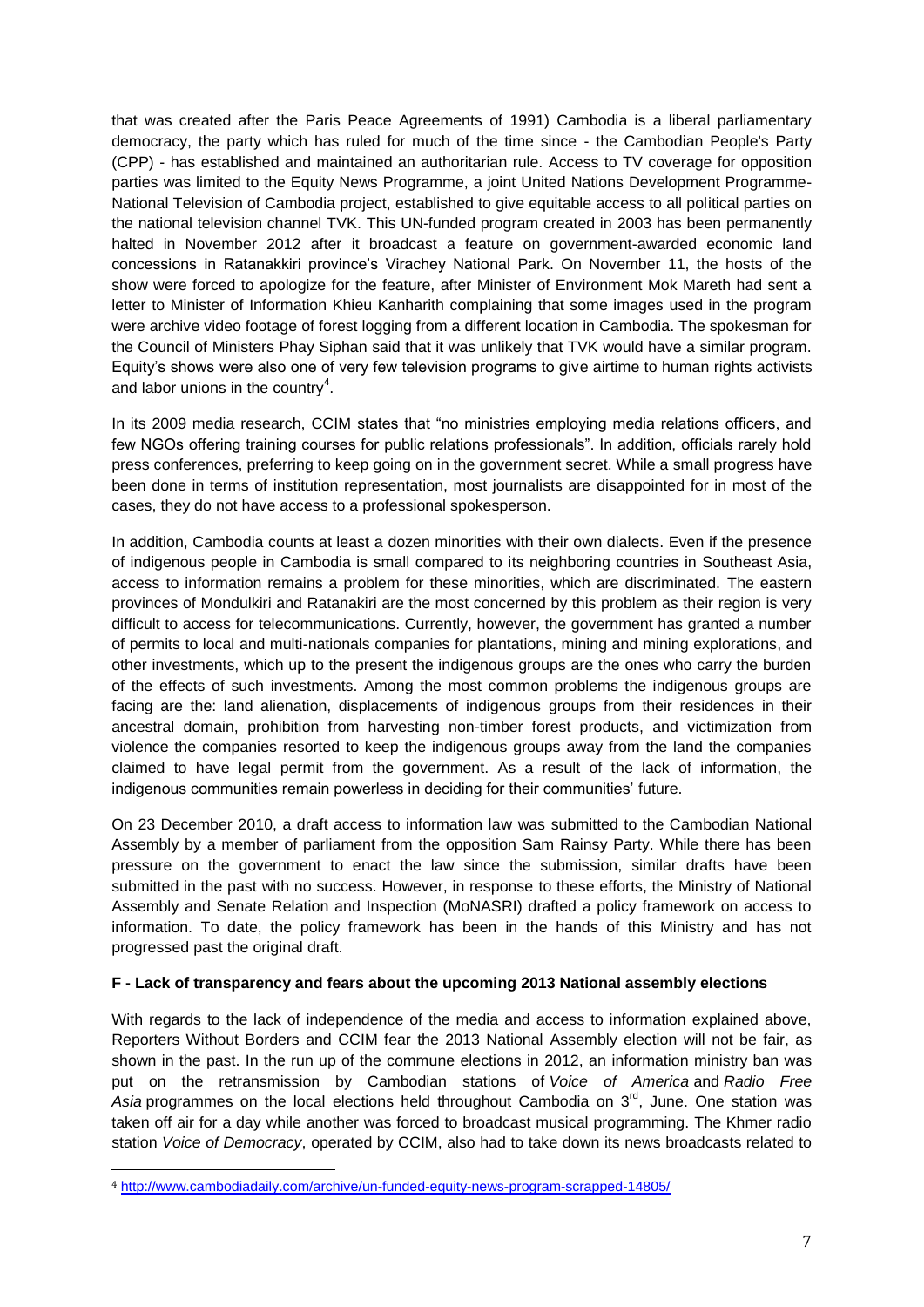that was created after the Paris Peace Agreements of 1991) Cambodia is a liberal parliamentary democracy, the party which has ruled for much of the time since - the Cambodian People's Party (CPP) - has established and maintained an authoritarian rule. Access to TV coverage for opposition parties was limited to the Equity News Programme, a joint United Nations Development Programme-National Television of Cambodia project, established to give equitable access to all political parties on the national television channel TVK. This UN-funded program created in 2003 has been permanently halted in November 2012 after it broadcast a feature on government-awarded economic land concessions in Ratanakkiri province's Virachey National Park. On November 11, the hosts of the show were forced to apologize for the feature, after Minister of Environment Mok Mareth had sent a letter to Minister of Information Khieu Kanharith complaining that some images used in the program were archive video footage of forest logging from a different location in Cambodia. The spokesman for the Council of Ministers Phay Siphan said that it was unlikely that TVK would have a similar program. Equity's shows were also one of very few television programs to give airtime to human rights activists and labor unions in the country<sup>4</sup>.

In its 2009 media research, CCIM states that "no ministries employing media relations officers, and few NGOs offering training courses for public relations professionals". In addition, officials rarely hold press conferences, preferring to keep going on in the government secret. While a small progress have been done in terms of institution representation, most journalists are disappointed for in most of the cases, they do not have access to a professional spokesperson.

In addition, Cambodia counts at least a dozen minorities with their own dialects. Even if the presence of indigenous people in Cambodia is small compared to its neighboring countries in Southeast Asia, access to information remains a problem for these minorities, which are discriminated. The eastern provinces of Mondulkiri and Ratanakiri are the most concerned by this problem as their region is very difficult to access for telecommunications. Currently, however, the government has granted a number of permits to local and multi-nationals companies for plantations, mining and mining explorations, and other investments, which up to the present the indigenous groups are the ones who carry the burden of the effects of such investments. Among the most common problems the indigenous groups are facing are the: land alienation, displacements of indigenous groups from their residences in their ancestral domain, prohibition from harvesting non-timber forest products, and victimization from violence the companies resorted to keep the indigenous groups away from the land the companies claimed to have legal permit from the government. As a result of the lack of information, the indigenous communities remain powerless in deciding for their communities' future.

On 23 December 2010, a draft access to information law was submitted to the Cambodian National Assembly by a member of parliament from the opposition Sam Rainsy Party. While there has been pressure on the government to enact the law since the submission, similar drafts have been submitted in the past with no success. However, in response to these efforts, the Ministry of National Assembly and Senate Relation and Inspection (MoNASRI) drafted a policy framework on access to information. To date, the policy framework has been in the hands of this Ministry and has not progressed past the original draft.

#### **F - Lack of transparency and fears about the upcoming 2013 National assembly elections**

With regards to the lack of independence of the media and access to information explained above, Reporters Without Borders and CCIM fear the 2013 National Assembly election will not be fair, as shown in the past. In the run up of the commune elections in 2012, an information ministry ban was put on the retransmission by Cambodian stations of *Voice of America* and *Radio Free*  Asia programmes on the local elections held throughout Cambodia on 3<sup>rd</sup>, June. One station was taken off air for a day while another was forced to broadcast musical programming. The Khmer radio station *Voice of Democracy*, operated by CCIM, also had to take down its news broadcasts related to

<u>.</u>

<sup>4</sup> <http://www.cambodiadaily.com/archive/un-funded-equity-news-program-scrapped-14805/>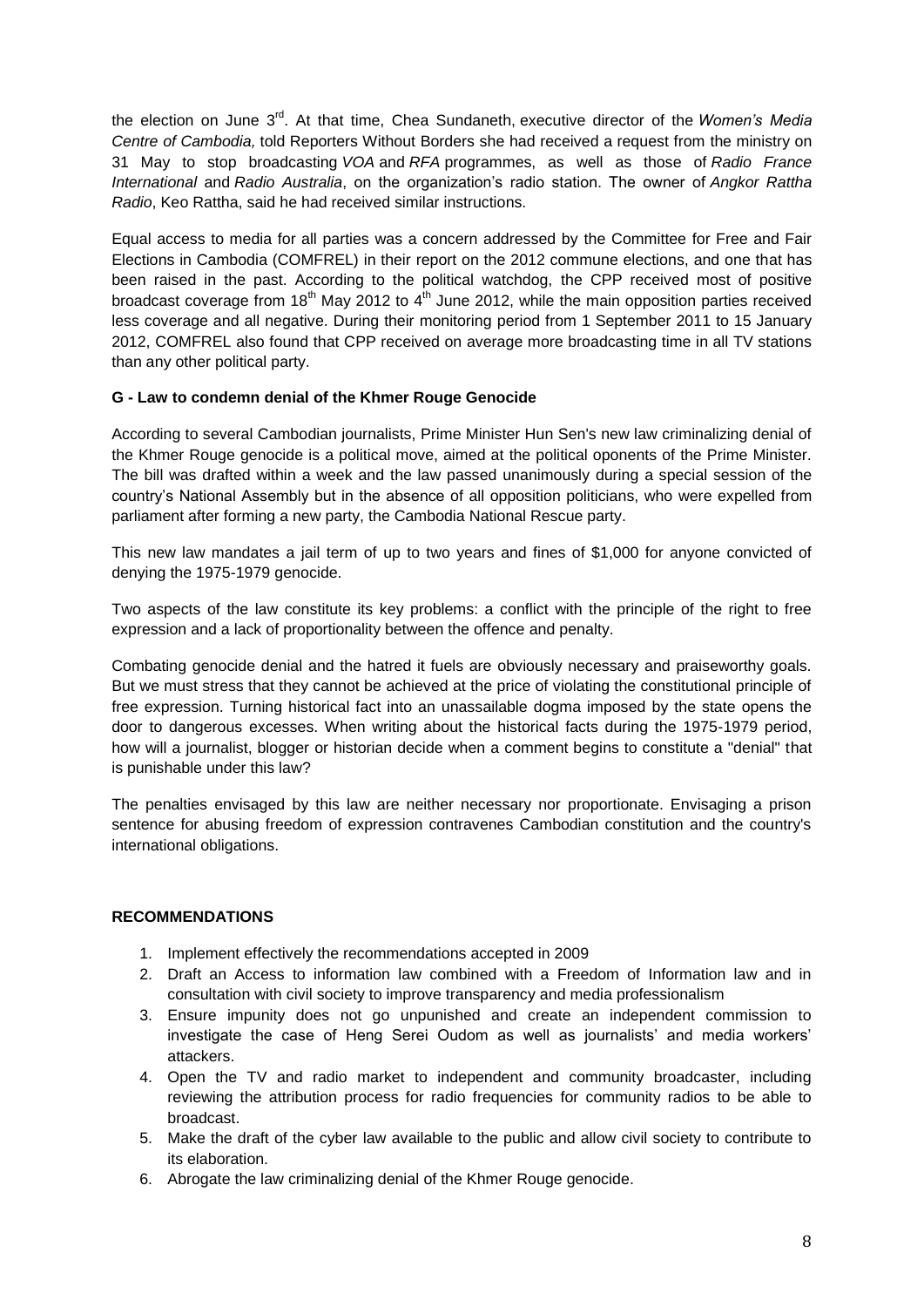the election on June 3<sup>rd</sup>. At that time, Chea Sundaneth, executive director of the *Women's Media Centre of Cambodia,* told Reporters Without Borders she had received a request from the ministry on 31 May to stop broadcasting *VOA* and *RFA* programmes, as well as those of *Radio France International* and *Radio Australia*, on the organization's radio station. The owner of *Angkor Rattha Radio*, Keo Rattha, said he had received similar instructions.

Equal access to media for all parties was a concern addressed by the Committee for Free and Fair Elections in Cambodia (COMFREL) in their report on the 2012 commune elections, and one that has been raised in the past. According to the political watchdog, the CPP received most of positive broadcast coverage from 18<sup>th</sup> May 2012 to  $4<sup>th</sup>$  June 2012, while the main opposition parties received less coverage and all negative. During their monitoring period from 1 September 2011 to 15 January 2012, COMFREL also found that CPP received on average more broadcasting time in all TV stations than any other political party.

## **G - Law to condemn denial of the Khmer Rouge Genocide**

According to several Cambodian journalists, Prime Minister Hun Sen's new law criminalizing denial of the Khmer Rouge genocide is a political move, aimed at the political oponents of the Prime Minister. The bill was drafted within a week and the law passed unanimously during a special session of the country's National Assembly but in the absence of all opposition politicians, who were expelled from parliament after forming a new party, the Cambodia National Rescue party.

This new law mandates a jail term of up to two years and fines of \$1,000 for anyone convicted of denying the 1975-1979 genocide.

Two aspects of the law constitute its key problems: a conflict with the principle of the right to free expression and a lack of proportionality between the offence and penalty.

Combating genocide denial and the hatred it fuels are obviously necessary and praiseworthy goals. But we must stress that they cannot be achieved at the price of violating the constitutional principle of free expression. Turning historical fact into an unassailable dogma imposed by the state opens the door to dangerous excesses. When writing about the historical facts during the 1975-1979 period, how will a journalist, blogger or historian decide when a comment begins to constitute a "denial" that is punishable under this law?

The penalties envisaged by this law are neither necessary nor proportionate. Envisaging a prison sentence for abusing freedom of expression contravenes Cambodian constitution and the country's international obligations.

#### **RECOMMENDATIONS**

- 1. Implement effectively the recommendations accepted in 2009
- 2. Draft an Access to information law combined with a Freedom of Information law and in consultation with civil society to improve transparency and media professionalism
- 3. Ensure impunity does not go unpunished and create an independent commission to investigate the case of Heng Serei Oudom as well as journalists' and media workers' attackers.
- 4. Open the TV and radio market to independent and community broadcaster, including reviewing the attribution process for radio frequencies for community radios to be able to broadcast.
- 5. Make the draft of the cyber law available to the public and allow civil society to contribute to its elaboration.
- 6. Abrogate the law criminalizing denial of the Khmer Rouge genocide.